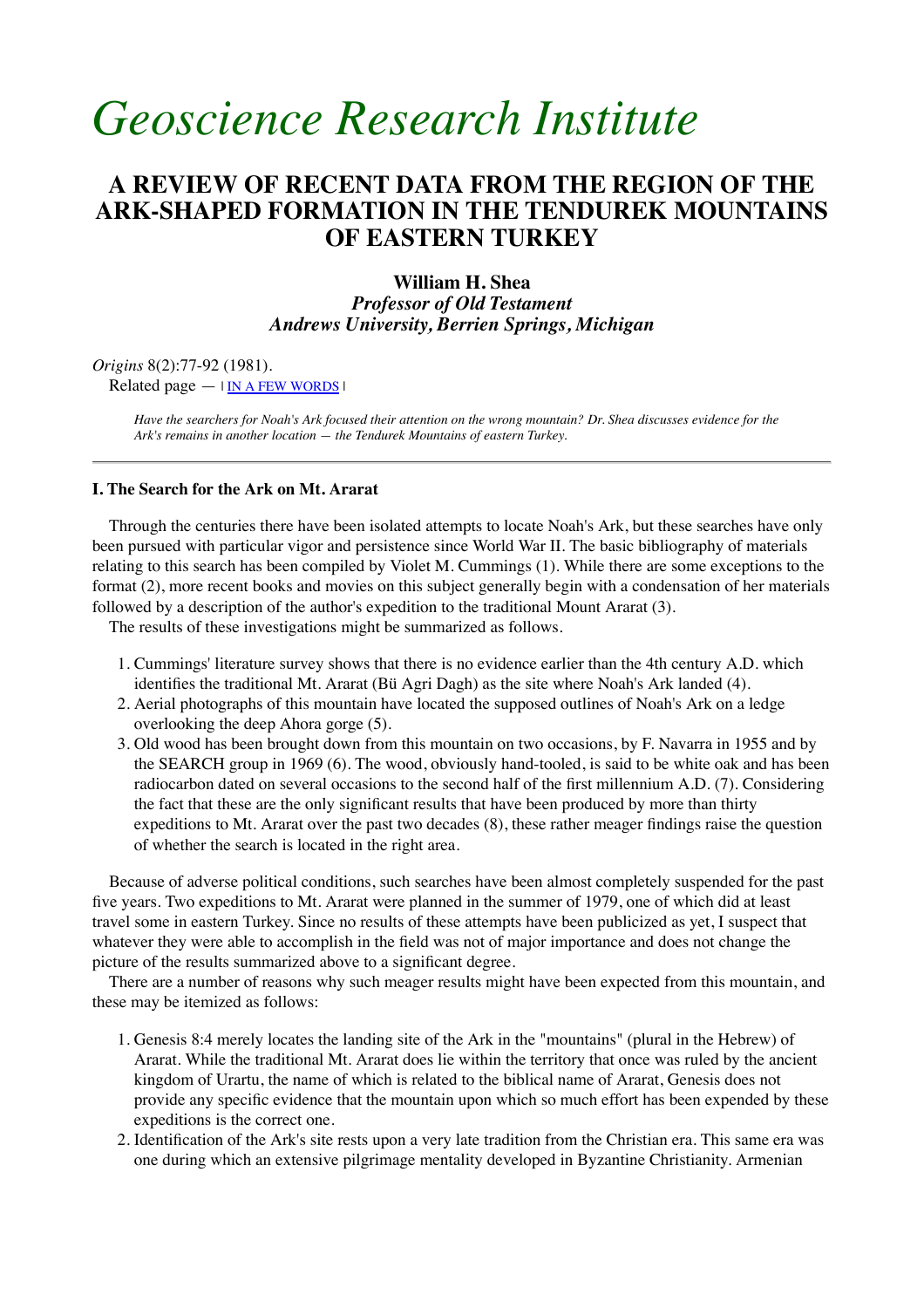# *Geoscience Research Institute*

# **A REVIEW OF RECENT DATA FROM THE REGION OF THE ARK-SHAPED FORMATION IN THE TENDUREK MOUNTAINS OF EASTERN TURKEY**

**William H. Shea** *Professor of Old Testament*

*Andrews University, Berrien Springs, Michigan*

*Origins* 8(2):77-92 (1981).

Related page  $\overline{IN}$  A FEW WORDS  $\overline{I}$ 

*Have the searchers for Noah's Ark focused their attention on the wrong mountain? Dr. Shea discusses evidence for the Ark's remains in another location — the Tendurek Mountains of eastern Turkey.*

# **I. The Search for the Ark on Mt. Ararat**

 Through the centuries there have been isolated attempts to locate Noah's Ark, but these searches have only been pursued with particular vigor and persistence since World War II. The basic bibliography of materials relating to this search has been compiled by Violet M. Cummings (1). While there are some exceptions to the format (2), more recent books and movies on this subject generally begin with a condensation of her materials followed by a description of the author's expedition to the traditional Mount Ararat (3).

The results of these investigations might be summarized as follows.

- Cummings' literature survey shows that there is no evidence earlier than the 4th century A.D. which 1. identifies the traditional Mt. Ararat (Bü Agri Dagh) as the site where Noah's Ark landed (4).
- 2. Aerial photographs of this mountain have located the supposed outlines of Noah's Ark on a ledge overlooking the deep Ahora gorge (5).
- Old wood has been brought down from this mountain on two occasions, by F. Navarra in 1955 and by 3. the SEARCH group in 1969 (6). The wood, obviously hand-tooled, is said to be white oak and has been radiocarbon dated on several occasions to the second half of the first millennium A.D. (7). Considering the fact that these are the only significant results that have been produced by more than thirty expeditions to Mt. Ararat over the past two decades (8), these rather meager findings raise the question of whether the search is located in the right area.

 Because of adverse political conditions, such searches have been almost completely suspended for the past five years. Two expeditions to Mt. Ararat were planned in the summer of 1979, one of which did at least travel some in eastern Turkey. Since no results of these attempts have been publicized as yet, I suspect that whatever they were able to accomplish in the field was not of major importance and does not change the picture of the results summarized above to a significant degree.

 There are a number of reasons why such meager results might have been expected from this mountain, and these may be itemized as follows:

- Genesis 8:4 merely locates the landing site of the Ark in the "mountains" (plural in the Hebrew) of 1. Ararat. While the traditional Mt. Ararat does lie within the territory that once was ruled by the ancient kingdom of Urartu, the name of which is related to the biblical name of Ararat, Genesis does not provide any specific evidence that the mountain upon which so much effort has been expended by these expeditions is the correct one.
- 2. Identification of the Ark's site rests upon a very late tradition from the Christian era. This same era was one during which an extensive pilgrimage mentality developed in Byzantine Christianity. Armenian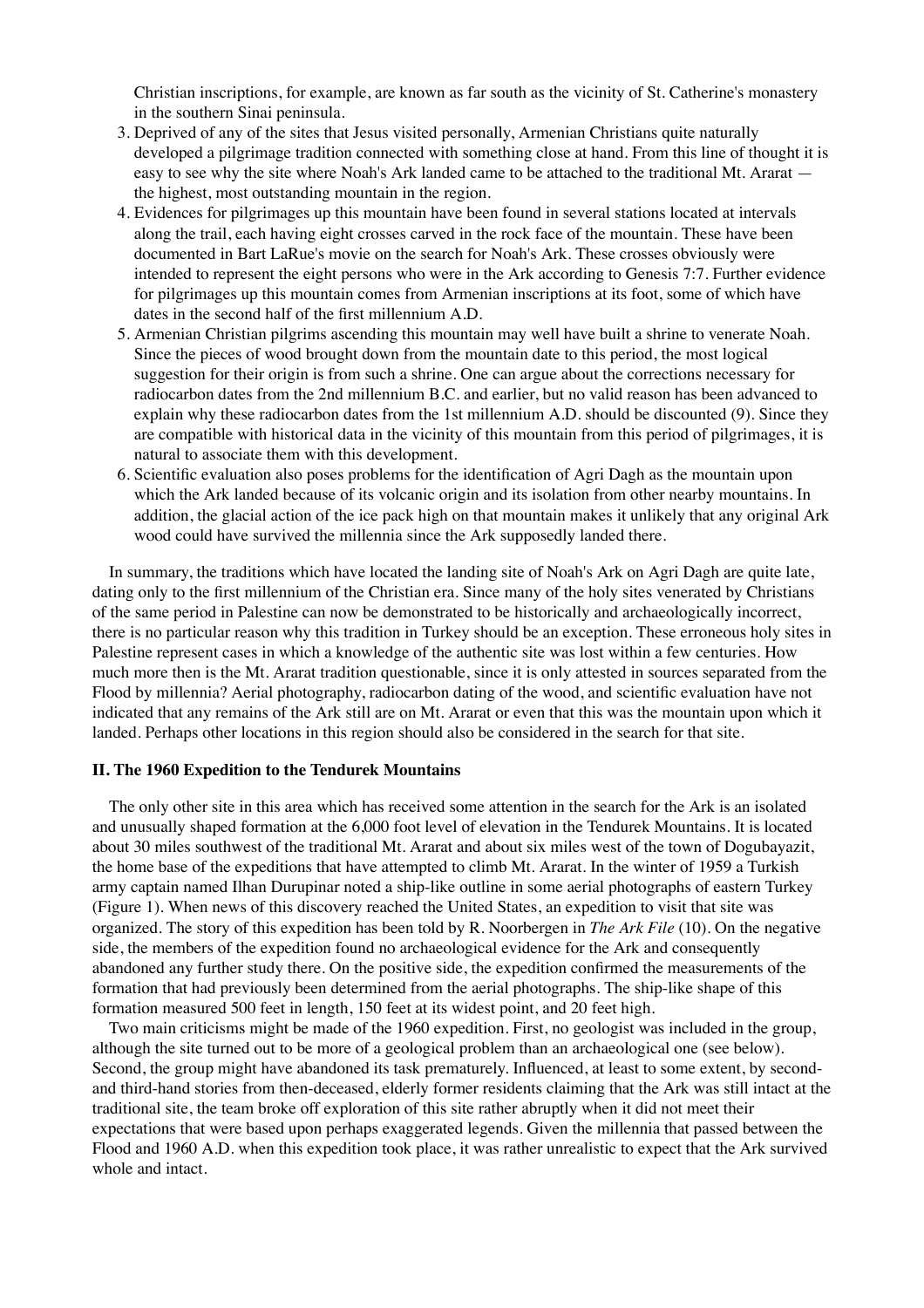Christian inscriptions, for example, are known as far south as the vicinity of St. Catherine's monastery in the southern Sinai peninsula.

- Deprived of any of the sites that Jesus visited personally, Armenian Christians quite naturally 3. developed a pilgrimage tradition connected with something close at hand. From this line of thought it is easy to see why the site where Noah's Ark landed came to be attached to the traditional Mt. Ararat the highest, most outstanding mountain in the region.
- Evidences for pilgrimages up this mountain have been found in several stations located at intervals 4. along the trail, each having eight crosses carved in the rock face of the mountain. These have been documented in Bart LaRue's movie on the search for Noah's Ark. These crosses obviously were intended to represent the eight persons who were in the Ark according to Genesis 7:7. Further evidence for pilgrimages up this mountain comes from Armenian inscriptions at its foot, some of which have dates in the second half of the first millennium A.D.
- 5. Armenian Christian pilgrims ascending this mountain may well have built a shrine to venerate Noah. Since the pieces of wood brought down from the mountain date to this period, the most logical suggestion for their origin is from such a shrine. One can argue about the corrections necessary for radiocarbon dates from the 2nd millennium B.C. and earlier, but no valid reason has been advanced to explain why these radiocarbon dates from the 1st millennium A.D. should be discounted (9). Since they are compatible with historical data in the vicinity of this mountain from this period of pilgrimages, it is natural to associate them with this development.
- 6. Scientific evaluation also poses problems for the identification of Agri Dagh as the mountain upon which the Ark landed because of its volcanic origin and its isolation from other nearby mountains. In addition, the glacial action of the ice pack high on that mountain makes it unlikely that any original Ark wood could have survived the millennia since the Ark supposedly landed there.

 In summary, the traditions which have located the landing site of Noah's Ark on Agri Dagh are quite late, dating only to the first millennium of the Christian era. Since many of the holy sites venerated by Christians of the same period in Palestine can now be demonstrated to be historically and archaeologically incorrect, there is no particular reason why this tradition in Turkey should be an exception. These erroneous holy sites in Palestine represent cases in which a knowledge of the authentic site was lost within a few centuries. How much more then is the Mt. Ararat tradition questionable, since it is only attested in sources separated from the Flood by millennia? Aerial photography, radiocarbon dating of the wood, and scientific evaluation have not indicated that any remains of the Ark still are on Mt. Ararat or even that this was the mountain upon which it landed. Perhaps other locations in this region should also be considered in the search for that site.

#### **II. The 1960 Expedition to the Tendurek Mountains**

 The only other site in this area which has received some attention in the search for the Ark is an isolated and unusually shaped formation at the 6,000 foot level of elevation in the Tendurek Mountains. It is located about 30 miles southwest of the traditional Mt. Ararat and about six miles west of the town of Dogubayazit, the home base of the expeditions that have attempted to climb Mt. Ararat. In the winter of 1959 a Turkish army captain named Ilhan Durupinar noted a ship-like outline in some aerial photographs of eastern Turkey (Figure 1). When news of this discovery reached the United States, an expedition to visit that site was organized. The story of this expedition has been told by R. Noorbergen in *The Ark File* (10). On the negative side, the members of the expedition found no archaeological evidence for the Ark and consequently abandoned any further study there. On the positive side, the expedition confirmed the measurements of the formation that had previously been determined from the aerial photographs. The ship-like shape of this formation measured 500 feet in length, 150 feet at its widest point, and 20 feet high.

 Two main criticisms might be made of the 1960 expedition. First, no geologist was included in the group, although the site turned out to be more of a geological problem than an archaeological one (see below). Second, the group might have abandoned its task prematurely. Influenced, at least to some extent, by secondand third-hand stories from then-deceased, elderly former residents claiming that the Ark was still intact at the traditional site, the team broke off exploration of this site rather abruptly when it did not meet their expectations that were based upon perhaps exaggerated legends. Given the millennia that passed between the Flood and 1960 A.D. when this expedition took place, it was rather unrealistic to expect that the Ark survived whole and intact.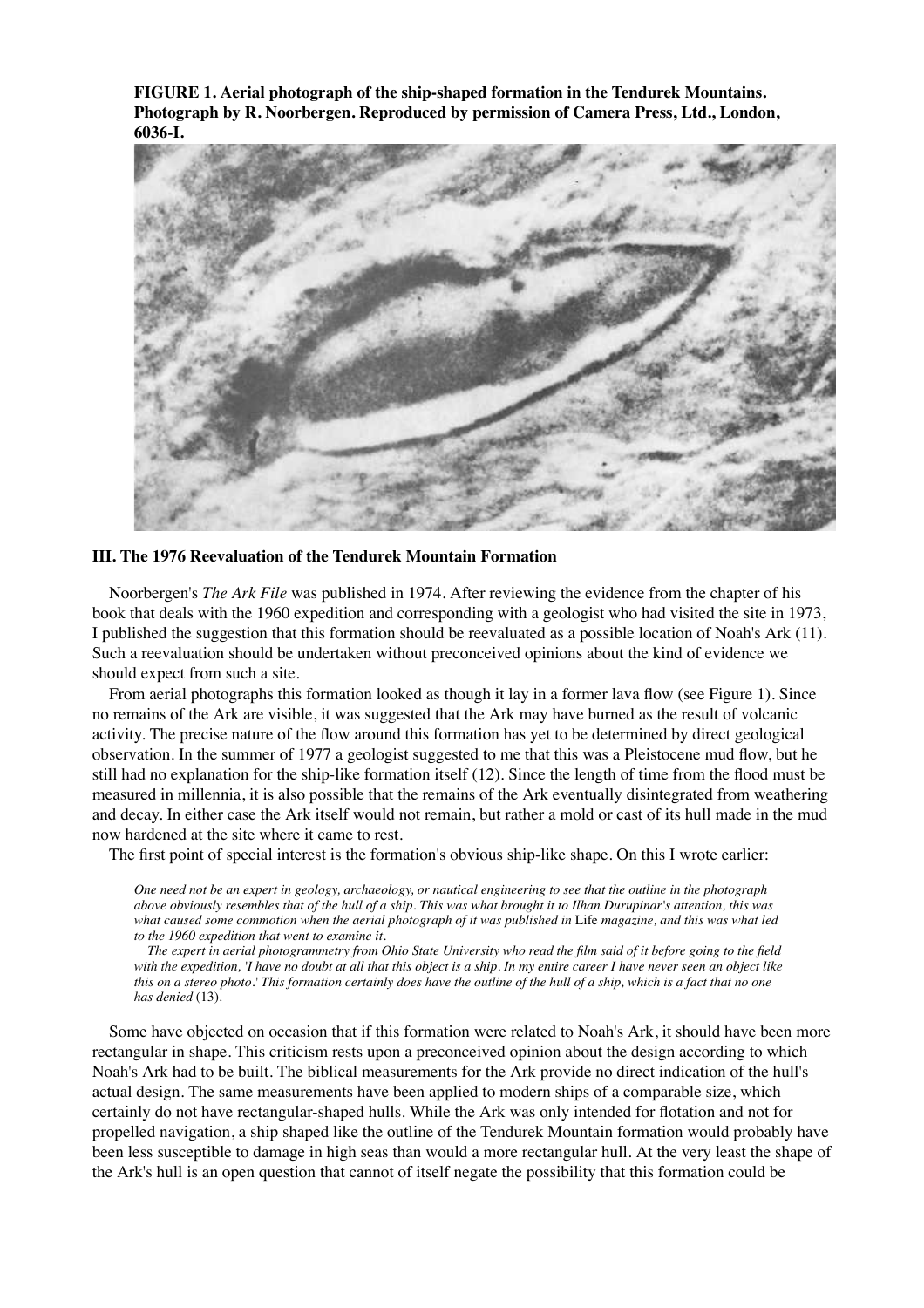**FIGURE 1. Aerial photograph of the ship-shaped formation in the Tendurek Mountains. Photograph by R. Noorbergen. Reproduced by permission of Camera Press, Ltd., London, 6036-I.**



# **III. The 1976 Reevaluation of the Tendurek Mountain Formation**

 Noorbergen's *The Ark File* was published in 1974. After reviewing the evidence from the chapter of his book that deals with the 1960 expedition and corresponding with a geologist who had visited the site in 1973, I published the suggestion that this formation should be reevaluated as a possible location of Noah's Ark (11). Such a reevaluation should be undertaken without preconceived opinions about the kind of evidence we should expect from such a site.

 From aerial photographs this formation looked as though it lay in a former lava flow (see Figure 1). Since no remains of the Ark are visible, it was suggested that the Ark may have burned as the result of volcanic activity. The precise nature of the flow around this formation has yet to be determined by direct geological observation. In the summer of 1977 a geologist suggested to me that this was a Pleistocene mud flow, but he still had no explanation for the ship-like formation itself (12). Since the length of time from the flood must be measured in millennia, it is also possible that the remains of the Ark eventually disintegrated from weathering and decay. In either case the Ark itself would not remain, but rather a mold or cast of its hull made in the mud now hardened at the site where it came to rest.

The first point of special interest is the formation's obvious ship-like shape. On this I wrote earlier:

*One need not be an expert in geology, archaeology, or nautical engineering to see that the outline in the photograph above obviously resembles that of the hull of a ship. This was what brought it to Ilhan Durupinar's attention, this was what caused some commotion when the aerial photograph of it was published in* Life *magazine, and this was what led to the 1960 expedition that went to examine it.*

 *The expert in aerial photogrammetry from Ohio State University who read the film said of it before going to the field with the expedition, 'I have no doubt at all that this object is a ship. In my entire career I have never seen an object like this on a stereo photo.' This formation certainly does have the outline of the hull of a ship, which is a fact that no one has denied* (13).

 Some have objected on occasion that if this formation were related to Noah's Ark, it should have been more rectangular in shape. This criticism rests upon a preconceived opinion about the design according to which Noah's Ark had to be built. The biblical measurements for the Ark provide no direct indication of the hull's actual design. The same measurements have been applied to modern ships of a comparable size, which certainly do not have rectangular-shaped hulls. While the Ark was only intended for flotation and not for propelled navigation, a ship shaped like the outline of the Tendurek Mountain formation would probably have been less susceptible to damage in high seas than would a more rectangular hull. At the very least the shape of the Ark's hull is an open question that cannot of itself negate the possibility that this formation could be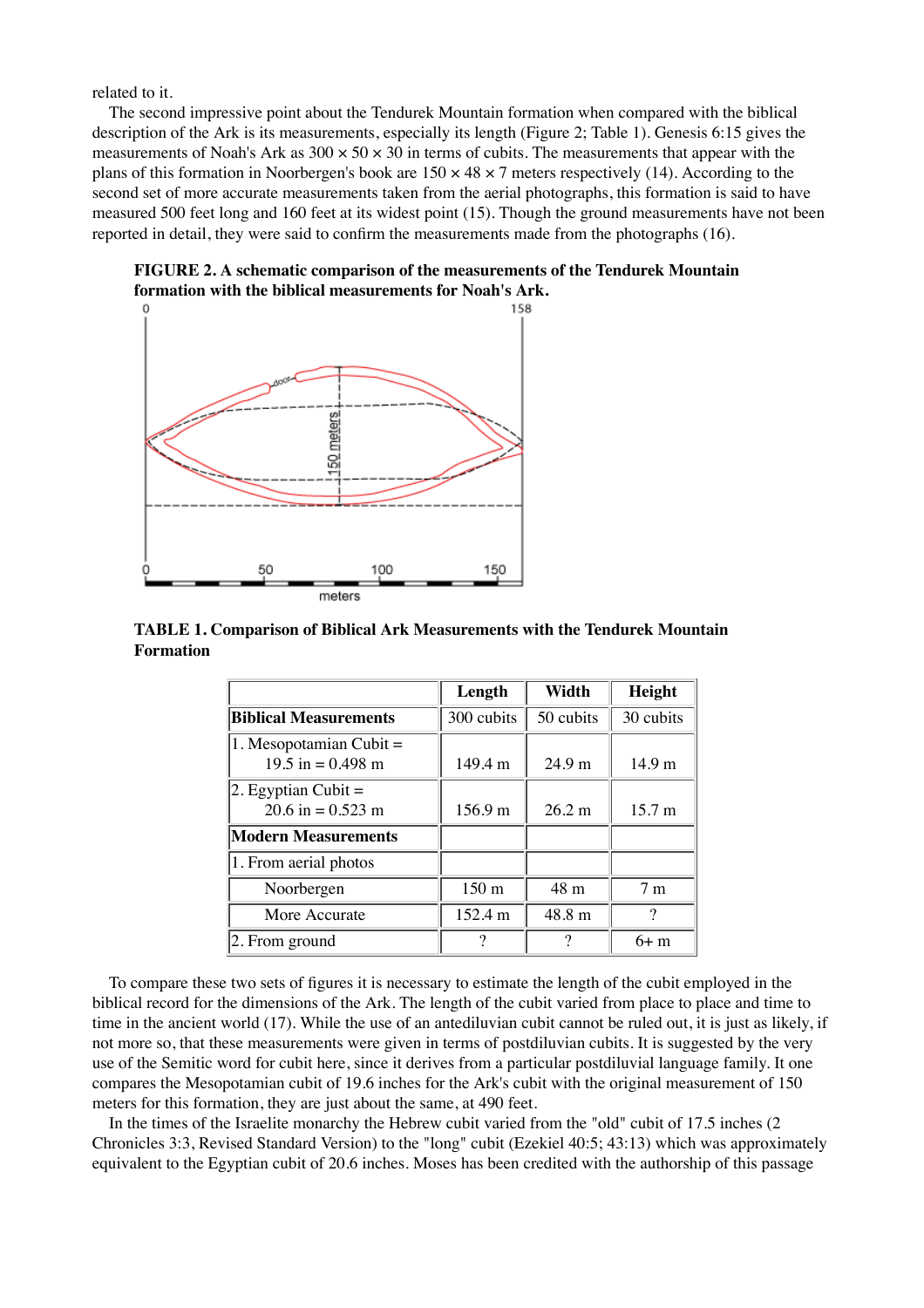related to it.

 The second impressive point about the Tendurek Mountain formation when compared with the biblical description of the Ark is its measurements, especially its length (Figure 2; Table 1). Genesis 6:15 gives the measurements of Noah's Ark as  $300 \times 50 \times 30$  in terms of cubits. The measurements that appear with the plans of this formation in Noorbergen's book are  $150 \times 48 \times 7$  meters respectively (14). According to the second set of more accurate measurements taken from the aerial photographs, this formation is said to have measured 500 feet long and 160 feet at its widest point (15). Though the ground measurements have not been reported in detail, they were said to confirm the measurements made from the photographs (16).

**FIGURE 2. A schematic comparison of the measurements of the Tendurek Mountain formation with the biblical measurements for Noah's Ark.**



**TABLE 1. Comparison of Biblical Ark Measurements with the Tendurek Mountain Formation**

|                                                   | Length           | Width     | Height            |
|---------------------------------------------------|------------------|-----------|-------------------|
| <b>Biblical Measurements</b>                      | 300 cubits       | 50 cubits | 30 cubits         |
| $ 1.$ Mesopotamian Cubit =<br>$19.5$ in = 0.498 m | 149.4 m          | 24.9 m    | 14.9 <sub>m</sub> |
| $ 2.$ Egyptian Cubit $=$<br>20.6 in = $0.523$ m   | 156.9 m          | 26.2 m    | 15.7 m            |
| <b>Modern Measurements</b>                        |                  |           |                   |
| 1. From aerial photos                             |                  |           |                   |
| Noorbergen                                        | 150 <sub>m</sub> | 48 m      | 7 <sub>m</sub>    |
| More Accurate                                     | 152.4 m          | 48.8 m    | 9                 |
| $ 2.$ From ground                                 |                  | റ         | $6+$ m            |

 To compare these two sets of figures it is necessary to estimate the length of the cubit employed in the biblical record for the dimensions of the Ark. The length of the cubit varied from place to place and time to time in the ancient world (17). While the use of an antediluvian cubit cannot be ruled out, it is just as likely, if not more so, that these measurements were given in terms of postdiluvian cubits. It is suggested by the very use of the Semitic word for cubit here, since it derives from a particular postdiluvial language family. It one compares the Mesopotamian cubit of 19.6 inches for the Ark's cubit with the original measurement of 150 meters for this formation, they are just about the same, at 490 feet.

 In the times of the Israelite monarchy the Hebrew cubit varied from the "old" cubit of 17.5 inches (2 Chronicles 3:3, Revised Standard Version) to the "long" cubit (Ezekiel 40:5; 43:13) which was approximately equivalent to the Egyptian cubit of 20.6 inches. Moses has been credited with the authorship of this passage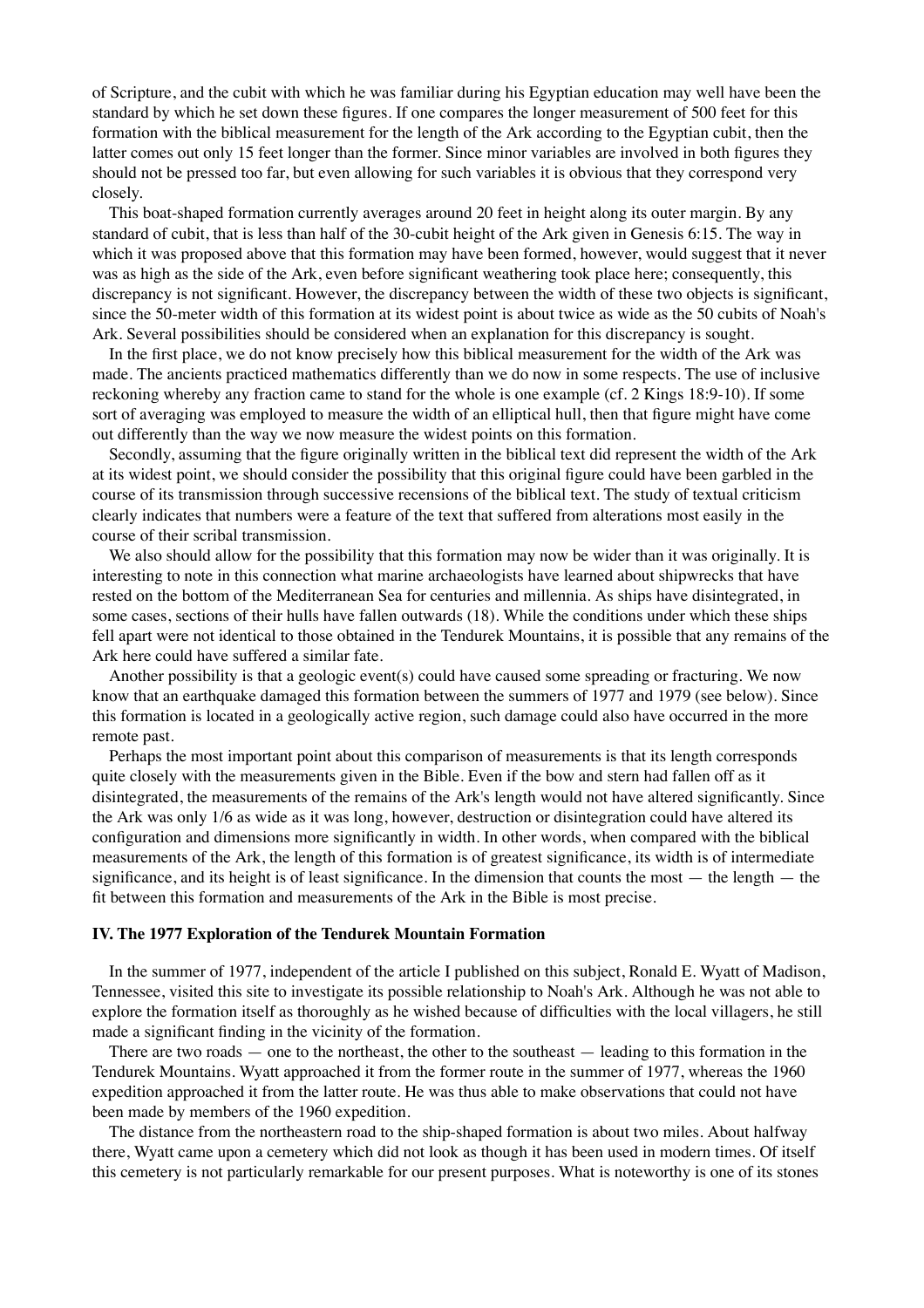of Scripture, and the cubit with which he was familiar during his Egyptian education may well have been the standard by which he set down these figures. If one compares the longer measurement of 500 feet for this formation with the biblical measurement for the length of the Ark according to the Egyptian cubit, then the latter comes out only 15 feet longer than the former. Since minor variables are involved in both figures they should not be pressed too far, but even allowing for such variables it is obvious that they correspond very closely.

 This boat-shaped formation currently averages around 20 feet in height along its outer margin. By any standard of cubit, that is less than half of the 30-cubit height of the Ark given in Genesis 6:15. The way in which it was proposed above that this formation may have been formed, however, would suggest that it never was as high as the side of the Ark, even before significant weathering took place here; consequently, this discrepancy is not significant. However, the discrepancy between the width of these two objects is significant, since the 50-meter width of this formation at its widest point is about twice as wide as the 50 cubits of Noah's Ark. Several possibilities should be considered when an explanation for this discrepancy is sought.

 In the first place, we do not know precisely how this biblical measurement for the width of the Ark was made. The ancients practiced mathematics differently than we do now in some respects. The use of inclusive reckoning whereby any fraction came to stand for the whole is one example (cf. 2 Kings 18:9-10). If some sort of averaging was employed to measure the width of an elliptical hull, then that figure might have come out differently than the way we now measure the widest points on this formation.

 Secondly, assuming that the figure originally written in the biblical text did represent the width of the Ark at its widest point, we should consider the possibility that this original figure could have been garbled in the course of its transmission through successive recensions of the biblical text. The study of textual criticism clearly indicates that numbers were a feature of the text that suffered from alterations most easily in the course of their scribal transmission.

We also should allow for the possibility that this formation may now be wider than it was originally. It is interesting to note in this connection what marine archaeologists have learned about shipwrecks that have rested on the bottom of the Mediterranean Sea for centuries and millennia. As ships have disintegrated, in some cases, sections of their hulls have fallen outwards (18). While the conditions under which these ships fell apart were not identical to those obtained in the Tendurek Mountains, it is possible that any remains of the Ark here could have suffered a similar fate.

 Another possibility is that a geologic event(s) could have caused some spreading or fracturing. We now know that an earthquake damaged this formation between the summers of 1977 and 1979 (see below). Since this formation is located in a geologically active region, such damage could also have occurred in the more remote past.

 Perhaps the most important point about this comparison of measurements is that its length corresponds quite closely with the measurements given in the Bible. Even if the bow and stern had fallen off as it disintegrated, the measurements of the remains of the Ark's length would not have altered significantly. Since the Ark was only 1/6 as wide as it was long, however, destruction or disintegration could have altered its configuration and dimensions more significantly in width. In other words, when compared with the biblical measurements of the Ark, the length of this formation is of greatest significance, its width is of intermediate significance, and its height is of least significance. In the dimension that counts the most — the length — the fit between this formation and measurements of the Ark in the Bible is most precise.

### **IV. The 1977 Exploration of the Tendurek Mountain Formation**

 In the summer of 1977, independent of the article I published on this subject, Ronald E. Wyatt of Madison, Tennessee, visited this site to investigate its possible relationship to Noah's Ark. Although he was not able to explore the formation itself as thoroughly as he wished because of difficulties with the local villagers, he still made a significant finding in the vicinity of the formation.

 There are two roads — one to the northeast, the other to the southeast — leading to this formation in the Tendurek Mountains. Wyatt approached it from the former route in the summer of 1977, whereas the 1960 expedition approached it from the latter route. He was thus able to make observations that could not have been made by members of the 1960 expedition.

 The distance from the northeastern road to the ship-shaped formation is about two miles. About halfway there, Wyatt came upon a cemetery which did not look as though it has been used in modern times. Of itself this cemetery is not particularly remarkable for our present purposes. What is noteworthy is one of its stones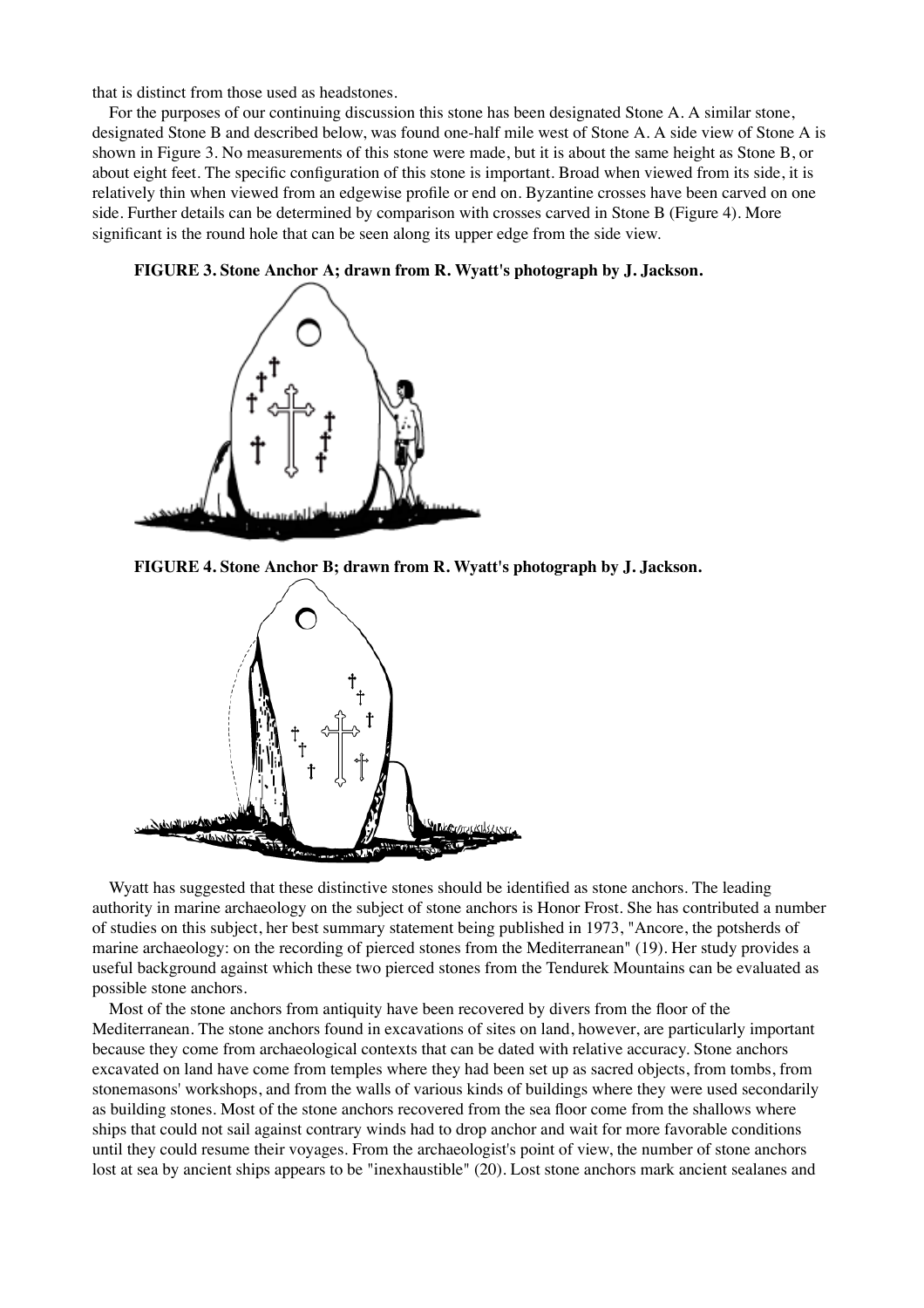that is distinct from those used as headstones.

 For the purposes of our continuing discussion this stone has been designated Stone A. A similar stone, designated Stone B and described below, was found one-half mile west of Stone A. A side view of Stone A is shown in Figure 3. No measurements of this stone were made, but it is about the same height as Stone B, or about eight feet. The specific configuration of this stone is important. Broad when viewed from its side, it is relatively thin when viewed from an edgewise profile or end on. Byzantine crosses have been carved on one side. Further details can be determined by comparison with crosses carved in Stone B (Figure 4). More significant is the round hole that can be seen along its upper edge from the side view.





**FIGURE 4. Stone Anchor B; drawn from R. Wyatt's photograph by J. Jackson.**



 Wyatt has suggested that these distinctive stones should be identified as stone anchors. The leading authority in marine archaeology on the subject of stone anchors is Honor Frost. She has contributed a number of studies on this subject, her best summary statement being published in 1973, "Ancore, the potsherds of marine archaeology: on the recording of pierced stones from the Mediterranean" (19). Her study provides a useful background against which these two pierced stones from the Tendurek Mountains can be evaluated as possible stone anchors.

 Most of the stone anchors from antiquity have been recovered by divers from the floor of the Mediterranean. The stone anchors found in excavations of sites on land, however, are particularly important because they come from archaeological contexts that can be dated with relative accuracy. Stone anchors excavated on land have come from temples where they had been set up as sacred objects, from tombs, from stonemasons' workshops, and from the walls of various kinds of buildings where they were used secondarily as building stones. Most of the stone anchors recovered from the sea floor come from the shallows where ships that could not sail against contrary winds had to drop anchor and wait for more favorable conditions until they could resume their voyages. From the archaeologist's point of view, the number of stone anchors lost at sea by ancient ships appears to be "inexhaustible" (20). Lost stone anchors mark ancient sealanes and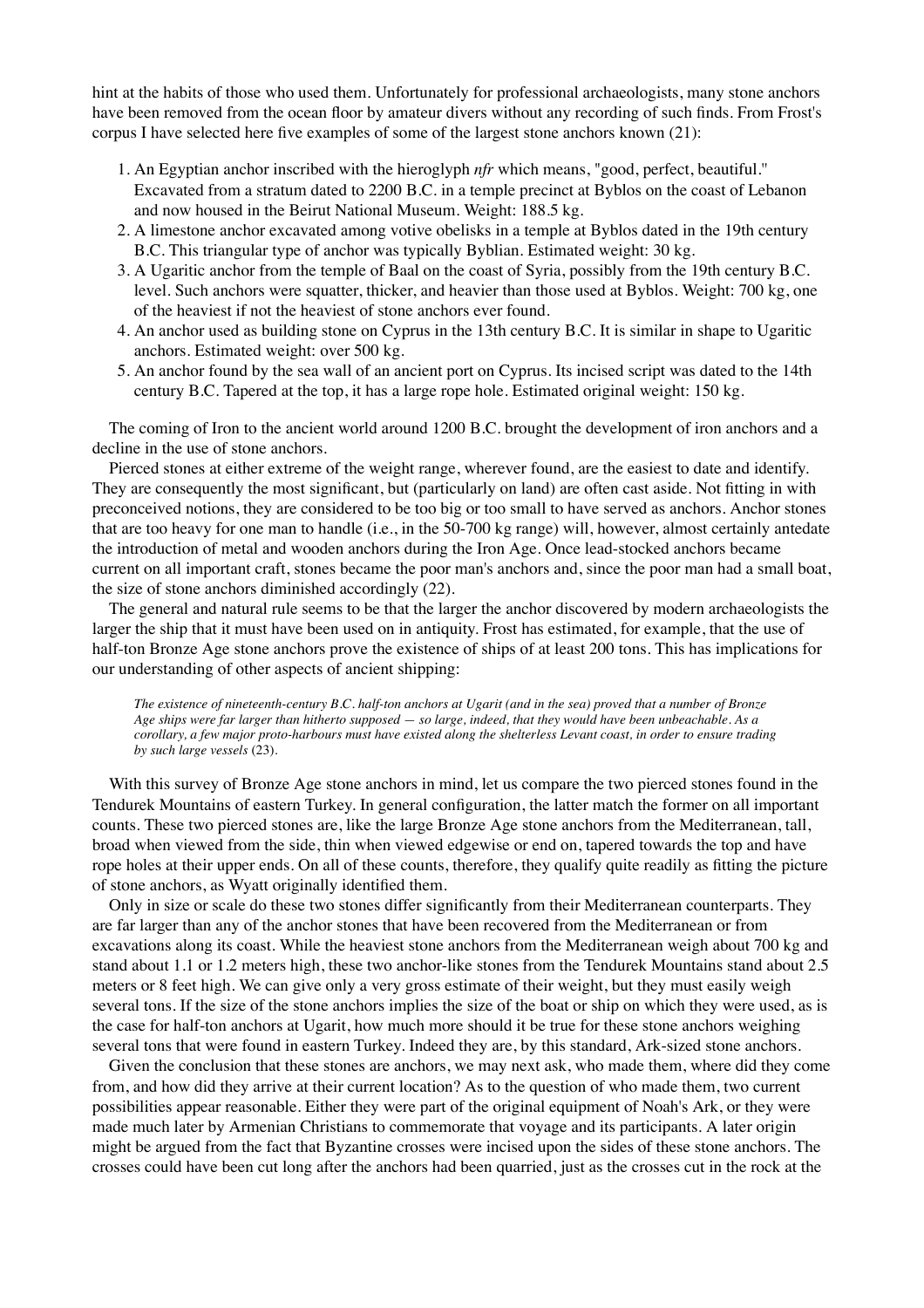hint at the habits of those who used them. Unfortunately for professional archaeologists, many stone anchors have been removed from the ocean floor by amateur divers without any recording of such finds. From Frost's corpus I have selected here five examples of some of the largest stone anchors known (21):

- 1. An Egyptian anchor inscribed with the hieroglyph *nfr* which means, "good, perfect, beautiful." Excavated from a stratum dated to 2200 B.C. in a temple precinct at Byblos on the coast of Lebanon and now housed in the Beirut National Museum. Weight: 188.5 kg.
- 2. A limestone anchor excavated among votive obelisks in a temple at Byblos dated in the 19th century B.C. This triangular type of anchor was typically Byblian. Estimated weight: 30 kg.
- A Ugaritic anchor from the temple of Baal on the coast of Syria, possibly from the 19th century B.C. 3. level. Such anchors were squatter, thicker, and heavier than those used at Byblos. Weight: 700 kg, one of the heaviest if not the heaviest of stone anchors ever found.
- An anchor used as building stone on Cyprus in the 13th century B.C. It is similar in shape to Ugaritic 4. anchors. Estimated weight: over 500 kg.
- 5. An anchor found by the sea wall of an ancient port on Cyprus. Its incised script was dated to the 14th century B.C. Tapered at the top, it has a large rope hole. Estimated original weight: 150 kg.

 The coming of Iron to the ancient world around 1200 B.C. brought the development of iron anchors and a decline in the use of stone anchors.

 Pierced stones at either extreme of the weight range, wherever found, are the easiest to date and identify. They are consequently the most significant, but (particularly on land) are often cast aside. Not fitting in with preconceived notions, they are considered to be too big or too small to have served as anchors. Anchor stones that are too heavy for one man to handle (i.e., in the 50-700 kg range) will, however, almost certainly antedate the introduction of metal and wooden anchors during the Iron Age. Once lead-stocked anchors became current on all important craft, stones became the poor man's anchors and, since the poor man had a small boat, the size of stone anchors diminished accordingly (22).

 The general and natural rule seems to be that the larger the anchor discovered by modern archaeologists the larger the ship that it must have been used on in antiquity. Frost has estimated, for example, that the use of half-ton Bronze Age stone anchors prove the existence of ships of at least 200 tons. This has implications for our understanding of other aspects of ancient shipping:

*The existence of nineteenth-century B.C. half-ton anchors at Ugarit (and in the sea) proved that a number of Bronze Age ships were far larger than hitherto supposed — so large, indeed, that they would have been unbeachable. As a corollary, a few major proto-harbours must have existed along the shelterless Levant coast, in order to ensure trading by such large vessels* (23).

 With this survey of Bronze Age stone anchors in mind, let us compare the two pierced stones found in the Tendurek Mountains of eastern Turkey. In general configuration, the latter match the former on all important counts. These two pierced stones are, like the large Bronze Age stone anchors from the Mediterranean, tall, broad when viewed from the side, thin when viewed edgewise or end on, tapered towards the top and have rope holes at their upper ends. On all of these counts, therefore, they qualify quite readily as fitting the picture of stone anchors, as Wyatt originally identified them.

 Only in size or scale do these two stones differ significantly from their Mediterranean counterparts. They are far larger than any of the anchor stones that have been recovered from the Mediterranean or from excavations along its coast. While the heaviest stone anchors from the Mediterranean weigh about 700 kg and stand about 1.1 or 1.2 meters high, these two anchor-like stones from the Tendurek Mountains stand about 2.5 meters or 8 feet high. We can give only a very gross estimate of their weight, but they must easily weigh several tons. If the size of the stone anchors implies the size of the boat or ship on which they were used, as is the case for half-ton anchors at Ugarit, how much more should it be true for these stone anchors weighing several tons that were found in eastern Turkey. Indeed they are, by this standard, Ark-sized stone anchors.

 Given the conclusion that these stones are anchors, we may next ask, who made them, where did they come from, and how did they arrive at their current location? As to the question of who made them, two current possibilities appear reasonable. Either they were part of the original equipment of Noah's Ark, or they were made much later by Armenian Christians to commemorate that voyage and its participants. A later origin might be argued from the fact that Byzantine crosses were incised upon the sides of these stone anchors. The crosses could have been cut long after the anchors had been quarried, just as the crosses cut in the rock at the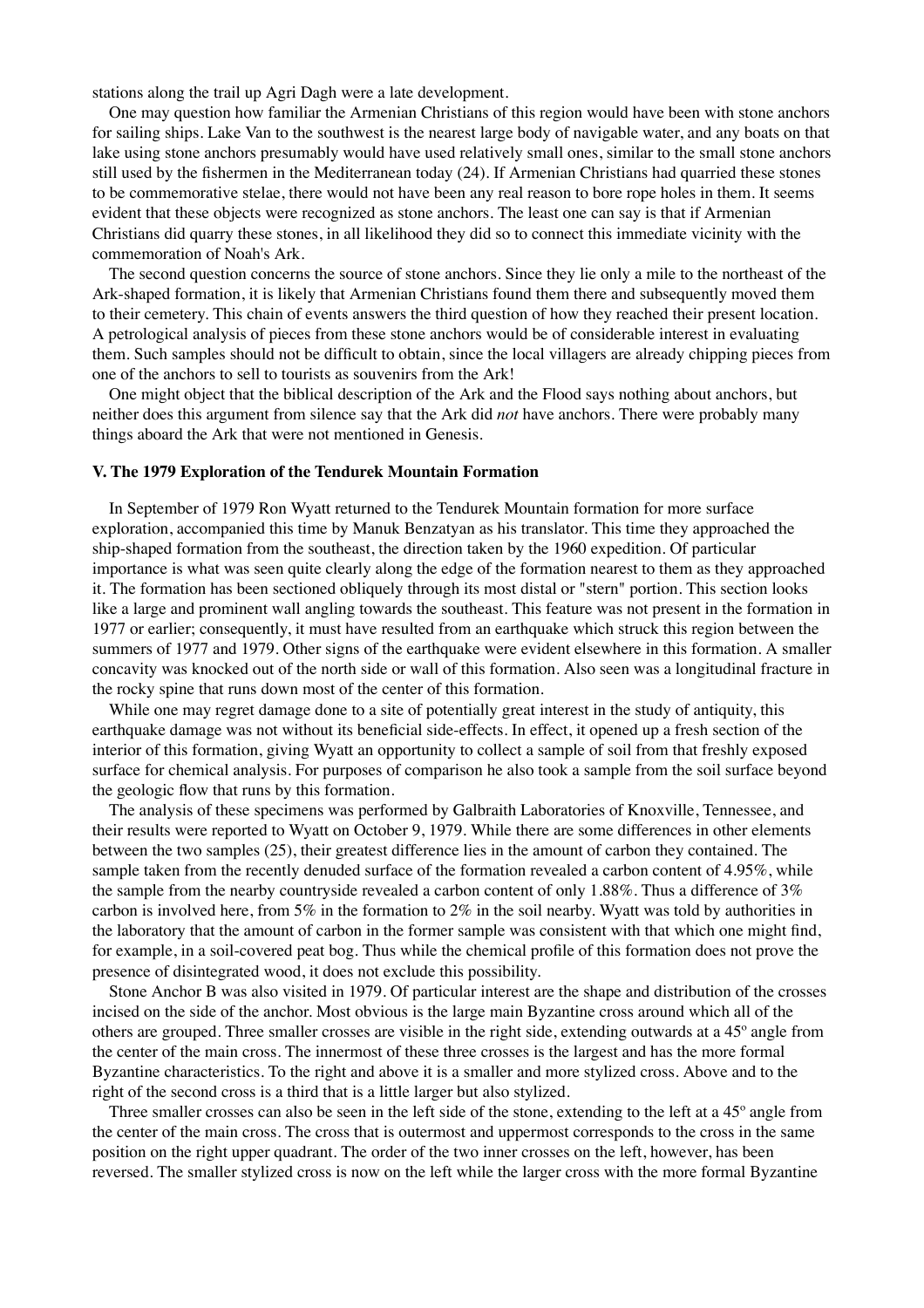stations along the trail up Agri Dagh were a late development.

 One may question how familiar the Armenian Christians of this region would have been with stone anchors for sailing ships. Lake Van to the southwest is the nearest large body of navigable water, and any boats on that lake using stone anchors presumably would have used relatively small ones, similar to the small stone anchors still used by the fishermen in the Mediterranean today (24). If Armenian Christians had quarried these stones to be commemorative stelae, there would not have been any real reason to bore rope holes in them. It seems evident that these objects were recognized as stone anchors. The least one can say is that if Armenian Christians did quarry these stones, in all likelihood they did so to connect this immediate vicinity with the commemoration of Noah's Ark.

 The second question concerns the source of stone anchors. Since they lie only a mile to the northeast of the Ark-shaped formation, it is likely that Armenian Christians found them there and subsequently moved them to their cemetery. This chain of events answers the third question of how they reached their present location. A petrological analysis of pieces from these stone anchors would be of considerable interest in evaluating them. Such samples should not be difficult to obtain, since the local villagers are already chipping pieces from one of the anchors to sell to tourists as souvenirs from the Ark!

 One might object that the biblical description of the Ark and the Flood says nothing about anchors, but neither does this argument from silence say that the Ark did *not* have anchors. There were probably many things aboard the Ark that were not mentioned in Genesis.

#### **V. The 1979 Exploration of the Tendurek Mountain Formation**

 In September of 1979 Ron Wyatt returned to the Tendurek Mountain formation for more surface exploration, accompanied this time by Manuk Benzatyan as his translator. This time they approached the ship-shaped formation from the southeast, the direction taken by the 1960 expedition. Of particular importance is what was seen quite clearly along the edge of the formation nearest to them as they approached it. The formation has been sectioned obliquely through its most distal or "stern" portion. This section looks like a large and prominent wall angling towards the southeast. This feature was not present in the formation in 1977 or earlier; consequently, it must have resulted from an earthquake which struck this region between the summers of 1977 and 1979. Other signs of the earthquake were evident elsewhere in this formation. A smaller concavity was knocked out of the north side or wall of this formation. Also seen was a longitudinal fracture in the rocky spine that runs down most of the center of this formation.

 While one may regret damage done to a site of potentially great interest in the study of antiquity, this earthquake damage was not without its beneficial side-effects. In effect, it opened up a fresh section of the interior of this formation, giving Wyatt an opportunity to collect a sample of soil from that freshly exposed surface for chemical analysis. For purposes of comparison he also took a sample from the soil surface beyond the geologic flow that runs by this formation.

 The analysis of these specimens was performed by Galbraith Laboratories of Knoxville, Tennessee, and their results were reported to Wyatt on October 9, 1979. While there are some differences in other elements between the two samples (25), their greatest difference lies in the amount of carbon they contained. The sample taken from the recently denuded surface of the formation revealed a carbon content of 4.95%, while the sample from the nearby countryside revealed a carbon content of only 1.88%. Thus a difference of 3% carbon is involved here, from 5% in the formation to 2% in the soil nearby. Wyatt was told by authorities in the laboratory that the amount of carbon in the former sample was consistent with that which one might find, for example, in a soil-covered peat bog. Thus while the chemical profile of this formation does not prove the presence of disintegrated wood, it does not exclude this possibility.

 Stone Anchor B was also visited in 1979. Of particular interest are the shape and distribution of the crosses incised on the side of the anchor. Most obvious is the large main Byzantine cross around which all of the others are grouped. Three smaller crosses are visible in the right side, extending outwards at a 45º angle from the center of the main cross. The innermost of these three crosses is the largest and has the more formal Byzantine characteristics. To the right and above it is a smaller and more stylized cross. Above and to the right of the second cross is a third that is a little larger but also stylized.

Three smaller crosses can also be seen in the left side of the stone, extending to the left at a 45<sup>°</sup> angle from the center of the main cross. The cross that is outermost and uppermost corresponds to the cross in the same position on the right upper quadrant. The order of the two inner crosses on the left, however, has been reversed. The smaller stylized cross is now on the left while the larger cross with the more formal Byzantine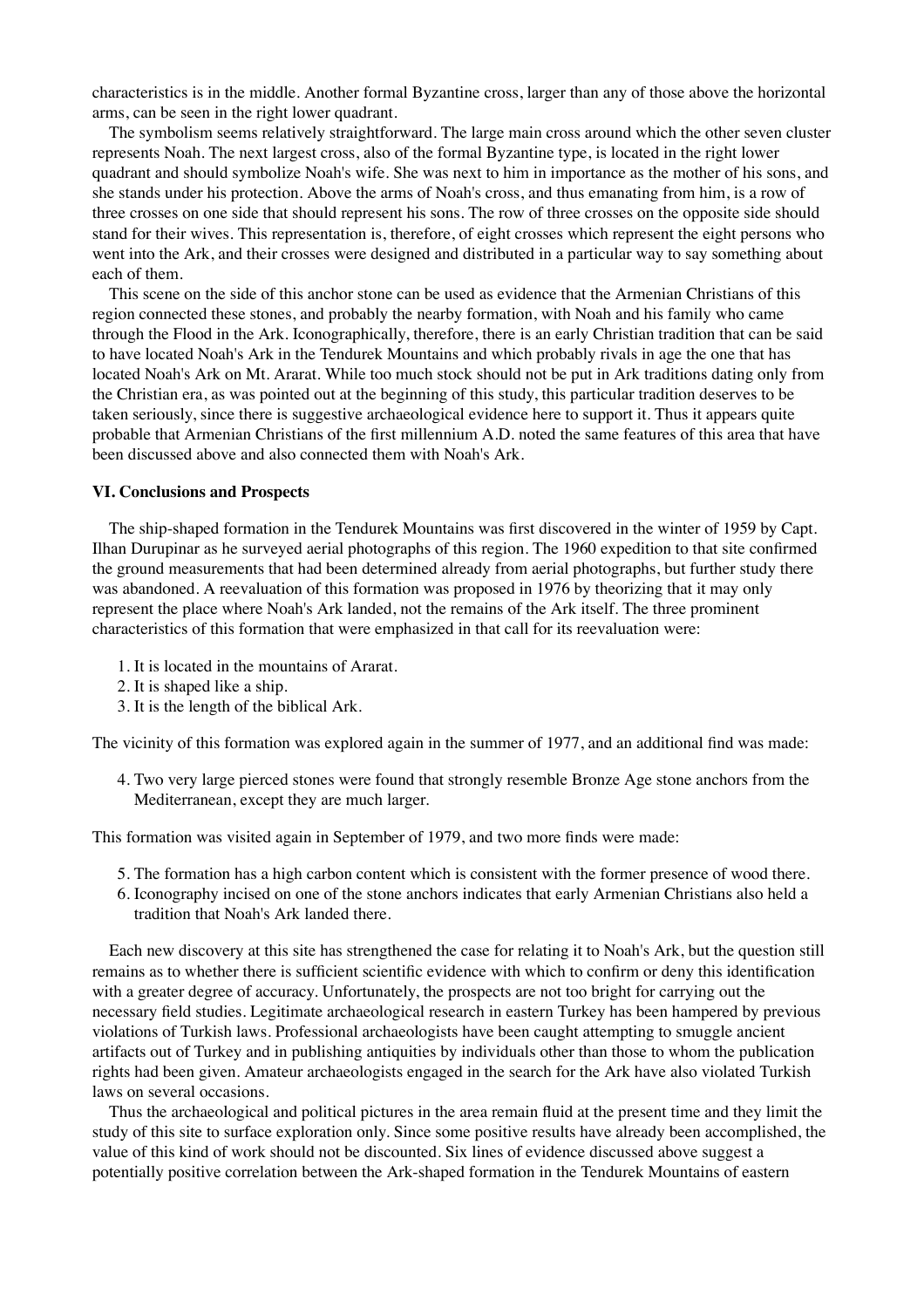characteristics is in the middle. Another formal Byzantine cross, larger than any of those above the horizontal arms, can be seen in the right lower quadrant.

 The symbolism seems relatively straightforward. The large main cross around which the other seven cluster represents Noah. The next largest cross, also of the formal Byzantine type, is located in the right lower quadrant and should symbolize Noah's wife. She was next to him in importance as the mother of his sons, and she stands under his protection. Above the arms of Noah's cross, and thus emanating from him, is a row of three crosses on one side that should represent his sons. The row of three crosses on the opposite side should stand for their wives. This representation is, therefore, of eight crosses which represent the eight persons who went into the Ark, and their crosses were designed and distributed in a particular way to say something about each of them.

 This scene on the side of this anchor stone can be used as evidence that the Armenian Christians of this region connected these stones, and probably the nearby formation, with Noah and his family who came through the Flood in the Ark. Iconographically, therefore, there is an early Christian tradition that can be said to have located Noah's Ark in the Tendurek Mountains and which probably rivals in age the one that has located Noah's Ark on Mt. Ararat. While too much stock should not be put in Ark traditions dating only from the Christian era, as was pointed out at the beginning of this study, this particular tradition deserves to be taken seriously, since there is suggestive archaeological evidence here to support it. Thus it appears quite probable that Armenian Christians of the first millennium A.D. noted the same features of this area that have been discussed above and also connected them with Noah's Ark.

#### **VI. Conclusions and Prospects**

 The ship-shaped formation in the Tendurek Mountains was first discovered in the winter of 1959 by Capt. Ilhan Durupinar as he surveyed aerial photographs of this region. The 1960 expedition to that site confirmed the ground measurements that had been determined already from aerial photographs, but further study there was abandoned. A reevaluation of this formation was proposed in 1976 by theorizing that it may only represent the place where Noah's Ark landed, not the remains of the Ark itself. The three prominent characteristics of this formation that were emphasized in that call for its reevaluation were:

- 1. It is located in the mountains of Ararat.
- 2. It is shaped like a ship.
- 3. It is the length of the biblical Ark.

The vicinity of this formation was explored again in the summer of 1977, and an additional find was made:

Two very large pierced stones were found that strongly resemble Bronze Age stone anchors from the 4. Mediterranean, except they are much larger.

This formation was visited again in September of 1979, and two more finds were made:

- 5. The formation has a high carbon content which is consistent with the former presence of wood there.
- 6. Iconography incised on one of the stone anchors indicates that early Armenian Christians also held a tradition that Noah's Ark landed there.

 Each new discovery at this site has strengthened the case for relating it to Noah's Ark, but the question still remains as to whether there is sufficient scientific evidence with which to confirm or deny this identification with a greater degree of accuracy. Unfortunately, the prospects are not too bright for carrying out the necessary field studies. Legitimate archaeological research in eastern Turkey has been hampered by previous violations of Turkish laws. Professional archaeologists have been caught attempting to smuggle ancient artifacts out of Turkey and in publishing antiquities by individuals other than those to whom the publication rights had been given. Amateur archaeologists engaged in the search for the Ark have also violated Turkish laws on several occasions.

 Thus the archaeological and political pictures in the area remain fluid at the present time and they limit the study of this site to surface exploration only. Since some positive results have already been accomplished, the value of this kind of work should not be discounted. Six lines of evidence discussed above suggest a potentially positive correlation between the Ark-shaped formation in the Tendurek Mountains of eastern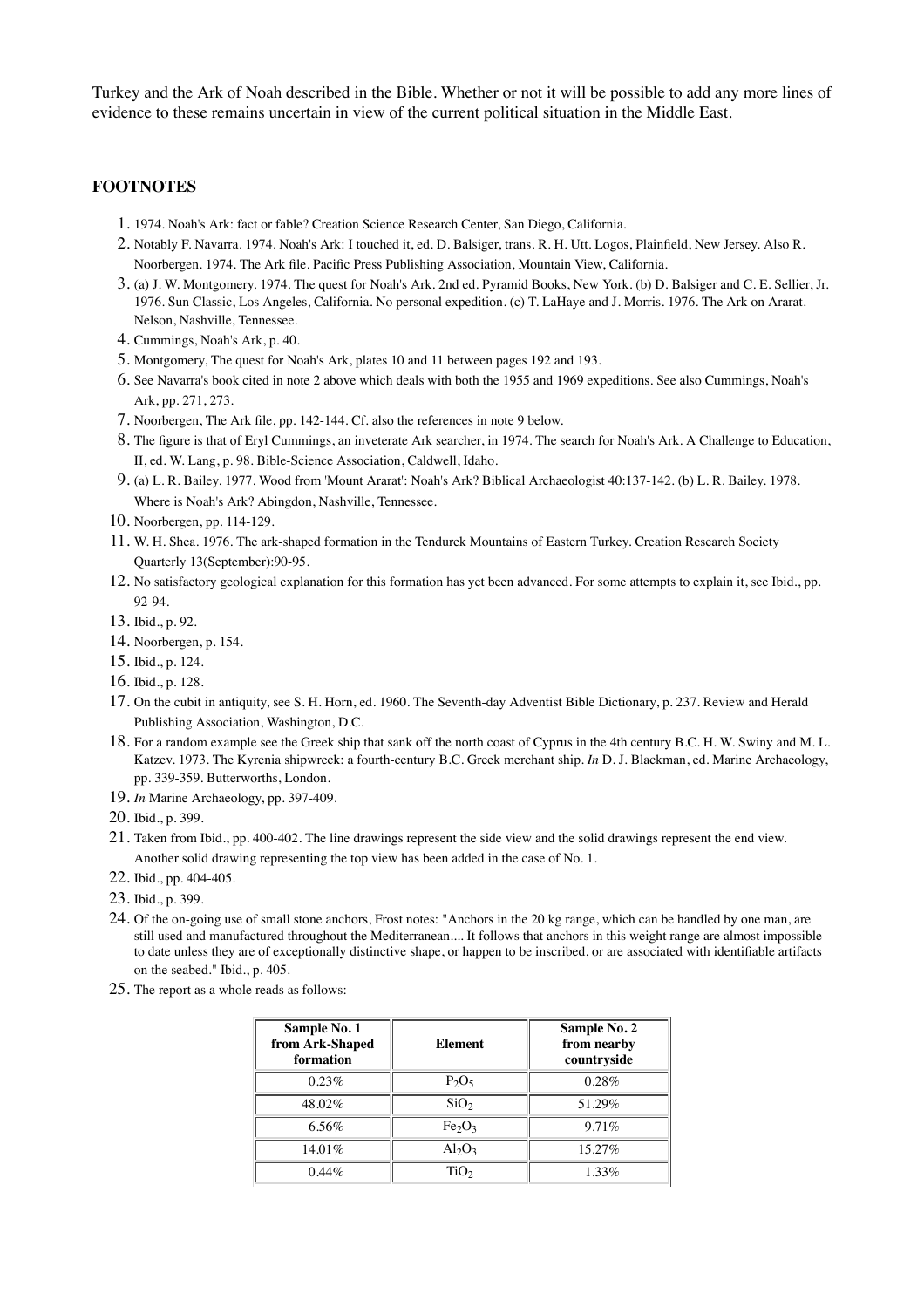Turkey and the Ark of Noah described in the Bible. Whether or not it will be possible to add any more lines of evidence to these remains uncertain in view of the current political situation in the Middle East.

## **FOOTNOTES**

- 1. 1974. Noah's Ark: fact or fable? Creation Science Research Center, San Diego, California.
- 2. Notably F. Navarra. 1974. Noah's Ark: I touched it, ed. D. Balsiger, trans. R. H. Utt. Logos, Plainfield, New Jersey. Also R. Noorbergen. 1974. The Ark file. Pacific Press Publishing Association, Mountain View, California.
- (a) J. W. Montgomery. 1974. The quest for Noah's Ark. 2nd ed. Pyramid Books, New York. (b) D. Balsiger and C. E. Sellier, Jr. 3. 1976. Sun Classic, Los Angeles, California. No personal expedition. (c) T. LaHaye and J. Morris. 1976. The Ark on Ararat. Nelson, Nashville, Tennessee.
- 4. Cummings, Noah's Ark, p. 40.
- 5. Montgomery, The quest for Noah's Ark, plates 10 and 11 between pages 192 and 193.
- See Navarra's book cited in note 2 above which deals with both the 1955 and 1969 expeditions. See also Cummings, Noah's 6. Ark, pp. 271, 273.
- 7. Noorbergen, The Ark file, pp. 142-144. Cf. also the references in note 9 below.
- The figure is that of Eryl Cummings, an inveterate Ark searcher, in 1974. The search for Noah's Ark. A Challenge to Education, 8. II, ed. W. Lang, p. 98. Bible-Science Association, Caldwell, Idaho.
- 9. (a) L. R. Bailey. 1977. Wood from 'Mount Ararat': Noah's Ark? Biblical Archaeologist 40:137-142. (b) L. R. Bailey. 1978. Where is Noah's Ark? Abingdon, Nashville, Tennessee.
- 10. Noorbergen, pp. 114-129.
- W. H. Shea. 1976. The ark-shaped formation in the Tendurek Mountains of Eastern Turkey. Creation Research Society 11. Quarterly 13(September):90-95.
- 12. No satisfactory geological explanation for this formation has yet been advanced. For some attempts to explain it, see Ibid., pp. 92-94.
- 13. Ibid., p. 92.
- 14. Noorbergen, p. 154.
- 15. Ibid., p. 124.
- 16. Ibid., p. 128.
- 17. On the cubit in antiquity, see S. H. Horn, ed. 1960. The Seventh-day Adventist Bible Dictionary, p. 237. Review and Herald Publishing Association, Washington, D.C.
- 18. For a random example see the Greek ship that sank off the north coast of Cyprus in the 4th century B.C. H. W. Swiny and M. L. Katzev. 1973. The Kyrenia shipwreck: a fourth-century B.C. Greek merchant ship. *In* D. J. Blackman, ed. Marine Archaeology, pp. 339-359. Butterworths, London.
- 19. *In* Marine Archaeology, pp. 397-409.
- 20. Ibid., p. 399.
- 21. Taken from Ibid., pp. 400-402. The line drawings represent the side view and the solid drawings represent the end view. Another solid drawing representing the top view has been added in the case of No. 1.
- 22. Ibid., pp. 404-405.
- 23. Ibid., p. 399.
- 24. Of the on-going use of small stone anchors, Frost notes: "Anchors in the 20 kg range, which can be handled by one man, are still used and manufactured throughout the Mediterranean.... It follows that anchors in this weight range are almost impossible to date unless they are of exceptionally distinctive shape, or happen to be inscribed, or are associated with identifiable artifacts on the seabed." Ibid., p. 405.
- 25. The report as a whole reads as follows:

| Sample No. 1<br>from Ark-Shaped<br>formation | <b>Element</b>                 | Sample No. 2<br>from nearby<br>countryside |
|----------------------------------------------|--------------------------------|--------------------------------------------|
| 0.23%                                        | $P_2O_5$                       | 0.28%                                      |
| 48.02%                                       | SiO <sub>2</sub>               | 51.29%                                     |
| $6.56\%$                                     | Fe <sub>2</sub> O <sub>3</sub> | $9.71\%$                                   |
| $14.01\%$                                    | $Al_2O_3$                      | $15.27\%$                                  |
| $0.44\%$                                     | TiO <sub>2</sub>               | $1.33\%$                                   |